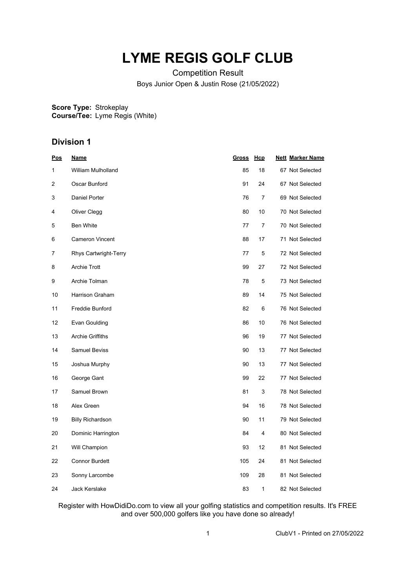## **LYME REGIS GOLF CLUB**

Competition Result Boys Junior Open & Justin Rose (21/05/2022)

**Score Type: Course/Tee:** Strokeplay Lyme Regis (White)

## **Division 1**

| <u>Pos</u>     | <u>Name</u>               | <b>Gross</b> | Hcp | <b>Nett Marker Name</b> |
|----------------|---------------------------|--------------|-----|-------------------------|
| 1              | <b>William Mulholland</b> | 85           | 18  | 67 Not Selected         |
| $\overline{2}$ | Oscar Bunford             | 91           | 24  | 67 Not Selected         |
| 3              | <b>Daniel Porter</b>      | 76           | 7   | 69 Not Selected         |
| 4              | Oliver Clegg              | 80           | 10  | 70 Not Selected         |
| 5              | <b>Ben White</b>          | 77           | 7   | 70 Not Selected         |
| 6              | <b>Cameron Vincent</b>    | 88           | 17  | 71 Not Selected         |
| 7              | Rhys Cartwright-Terry     | 77           | 5   | 72 Not Selected         |
| 8              | <b>Archie Trott</b>       | 99           | 27  | 72 Not Selected         |
| 9              | Archie Tolman             | 78           | 5   | 73 Not Selected         |
| 10             | <b>Harrison Graham</b>    | 89           | 14  | 75 Not Selected         |
| 11             | Freddie Bunford           | 82           | 6   | 76 Not Selected         |
| 12             | Evan Goulding             | 86           | 10  | 76 Not Selected         |
| 13             | <b>Archie Griffiths</b>   | 96           | 19  | 77 Not Selected         |
| 14             | <b>Samuel Beviss</b>      | 90           | 13  | 77 Not Selected         |
| 15             | Joshua Murphy             | 90           | 13  | 77 Not Selected         |
| 16             | George Gant               | 99           | 22  | 77 Not Selected         |
| 17             | Samuel Brown              | 81           | 3   | 78 Not Selected         |
| 18             | Alex Green                | 94           | 16  | 78 Not Selected         |
| 19             | <b>Billy Richardson</b>   | 90           | 11  | 79 Not Selected         |
| 20             | Dominic Harrington        | 84           | 4   | 80 Not Selected         |
| 21             | Will Champion             | 93           | 12  | 81 Not Selected         |
| 22             | <b>Connor Burdett</b>     | 105          | 24  | 81 Not Selected         |
| 23             | Sonny Larcombe            | 109          | 28  | 81 Not Selected         |
| 24             | Jack Kerslake             | 83           | 1   | 82 Not Selected         |

Register with HowDidiDo.com to view all your golfing statistics and competition results. It's FREE and over 500,000 golfers like you have done so already!